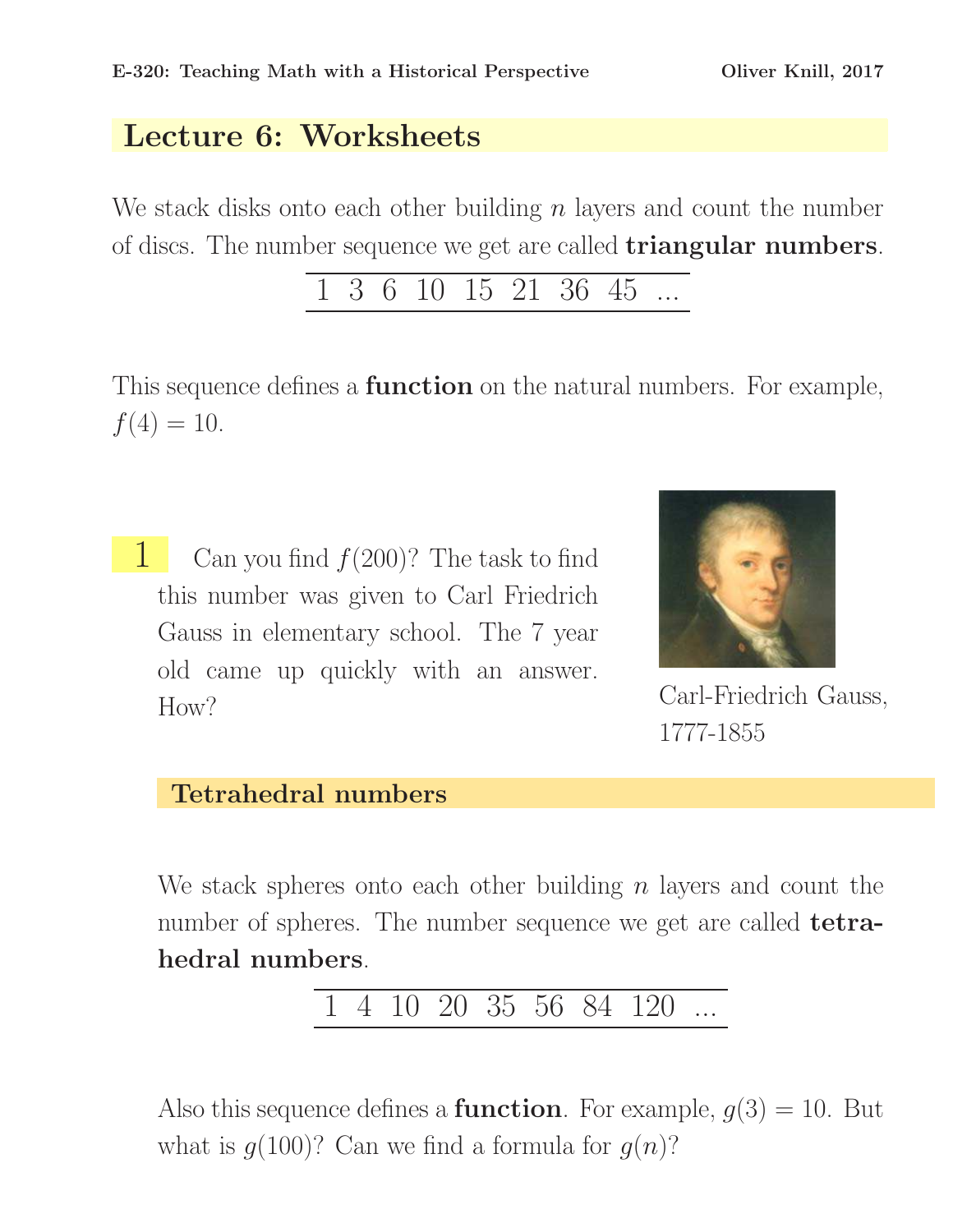## Lecture 6: Worksheets

We stack disks onto each other building  $n$  layers and count the number of discs. The number sequence we get are called triangular numbers.

$$
\begin{array}{ccccccccc}\n1 & 3 & 6 & 10 & 15 & 21 & 36 & 45 & \dots \\
\end{array}
$$

This sequence defines a **function** on the natural numbers. For example,  $f(4) = 10.$ 

**1** Can you find  $f(200)$ ? The task to find this number was given to Carl Friedrich Gauss in elementary school. The 7 year old came up quickly with an answer. How? Carl-Friedrich Gauss,



1777-1855

## Tetrahedral numbers

We stack spheres onto each other building  $n$  layers and count the number of spheres. The number sequence we get are called **tetra**hedral numbers.

4 10 20 35 56 84 120

Also this sequence defines a **function**. For example,  $g(3) = 10$ . But what is  $q(100)$ ? Can we find a formula for  $q(n)$ ?